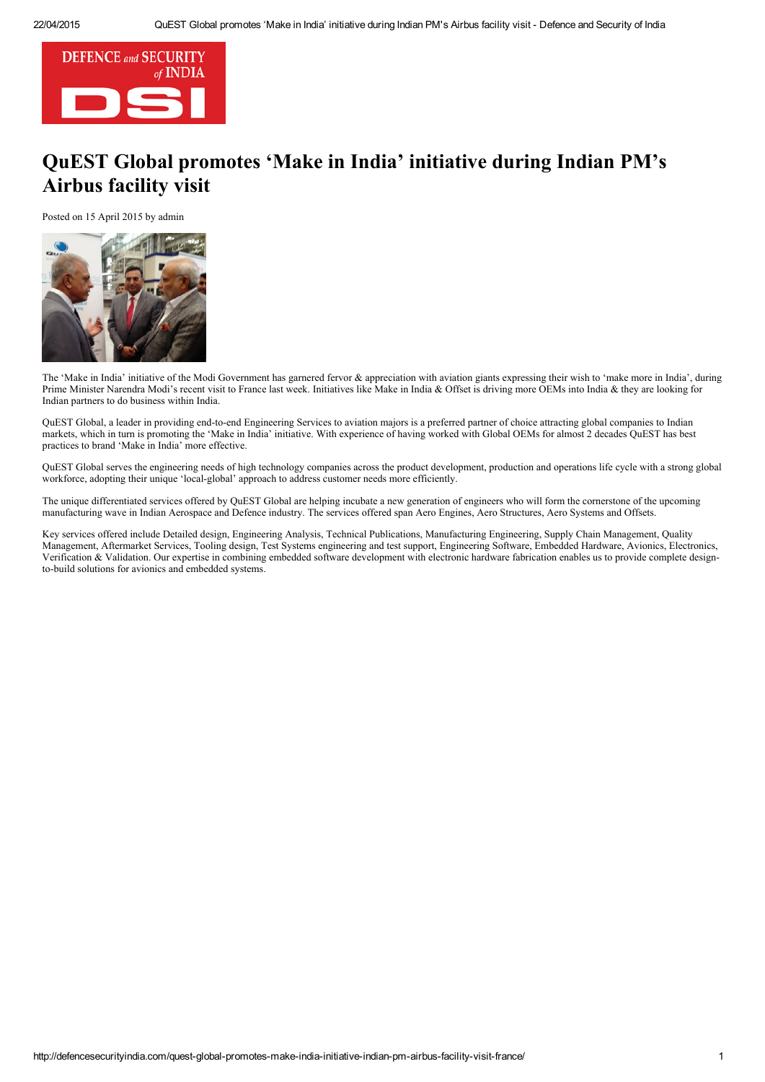

## Q[uEST](http://defencesecurityindia.com/news-2/) Global promotes 'Make in India' initiative during Indian PM's Ai[rbu](http://defencesecurityindia.com/calendar-of-events/)[s fa](http://defencesecurityindia.com/current-issue/)cility visit

P[osted on 15 April 2015 by admin](http://defencesecurityindia.com/india-seeks-investment-defence-south-korea/)



The 'Make in India' initiative of the Modi Government has garnered fervor & appreciation with aviation giants expressing their wish to 'make more in India', during Prime Minister Narendra Modi's recent visit to France last week. Initiatives like Make in India & Offset is driving more OEMs into India & they are looking for Indian partners to do business within India.

QuEST Global, a leader in providing end-to-end Engineering Services to aviation majors is a preferred partner of choice attracting global companies to Indian markets, which in turn is promoting the 'Make in India' initiative. With experience of having worked with Global OEMs for almost 2 decades QuEST has best practices to brand 'Make in India' more effective.

QuEST Global serves the engineering needs of high technology companies across the product development, production and operations life cycle with a strong global workforce, adopting their unique 'local-global' approach to address customer needs more efficiently.

The unique differentiated services offered by QuEST Global are helping incubate a new generation of engineers who will form the cornerstone of the upcoming manufacturing wave in Indian Aerospace and Defence industry. The services offered span Aero Engines, Aero Structures, Aero Systems and Offsets.

Key services offered include Detailed design, Engineering Analysis, Technical Publications, Manufacturing Engineering, Supply Chain Management, Quality Management, Aftermarket Services, Tooling design, Test Systems engineering and test support, Engineering Software, Embedded Hardware, Avionics, Electronics, Verification & Validation. Our expertise in combining embedded software development with electronic hardware fabrication enables us to provide complete designto-build solutions for avionics and embedded systems.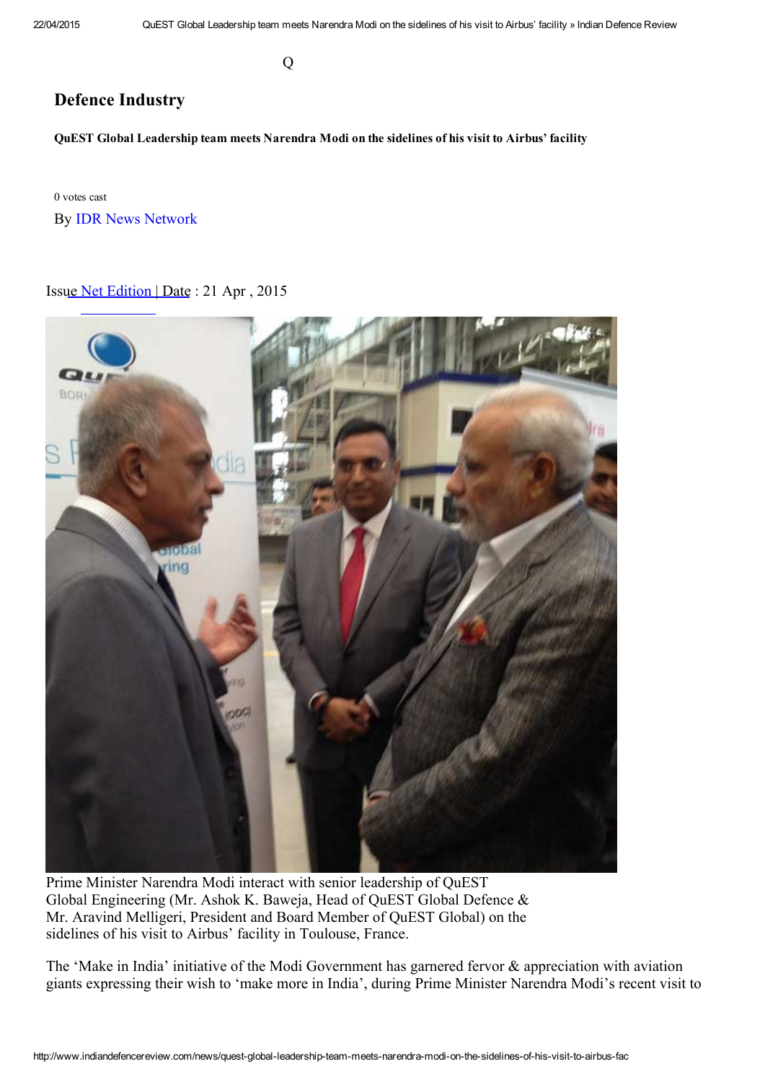Q

## [Defence Industry](http://www.lancerpublishers.us/)

[QuEST](http://www.indiandefencereview.com/) [Global L](http://www.indiandefencereview.com/news)ea[dership team meets Na](http://www.indiandefencereview.com/idr_category/defence-industry)rendra Modi on the sidelines of his visit to Airbus' facility

0 votes cast By IDR News Network

## Issue Net Edition | Date : 21 Apr , 2015



[Prime Minister Narendra Modi interact with senior leadership of QuEST](http://www.indiandefencereview.com/wp-content/uploads/2015/04/Modi-with-senior-leadership-of-QuEST.jpg) Global Engineering (Mr. Ashok K. Baweja, Head of QuEST Global Defence & Mr. Aravind Melligeri, President and Board Member of QuEST Global) on the sidelines of his visit to Airbus' facility in Toulouse, France.

The 'Make in India' initiative of the Modi Government has garnered fervor & appreciation with aviation giants expressing their wish to 'make more in India', during Prime Minister Narendra Modi's recent visit to